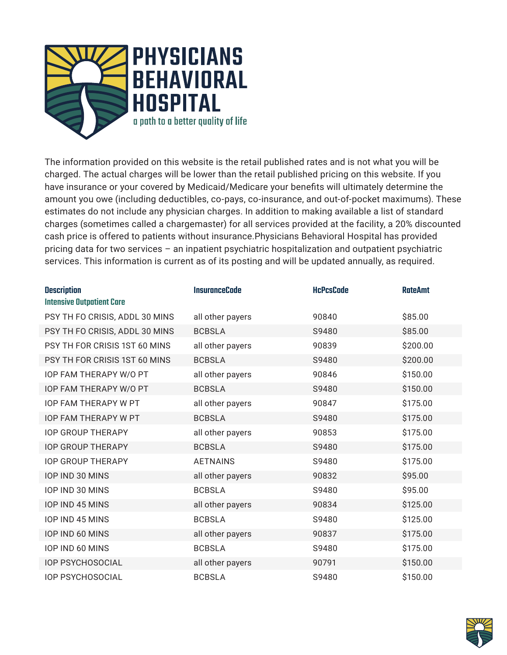

The information provided on this website is the retail published rates and is not what you will be charged. The actual charges will be lower than the retail published pricing on this website. If you have insurance or your covered by Medicaid/Medicare your benefits will ultimately determine the amount you owe (including deductibles, co-pays, co-insurance, and out-of-pocket maximums). These estimates do not include any physician charges. In addition to making available a list of standard charges (sometimes called a chargemaster) for all services provided at the facility, a 20% discounted cash price is offered to patients without insurance.Physicians Behavioral Hospital has provided pricing data for two services – an inpatient psychiatric hospitalization and outpatient psychiatric services. This information is current as of its posting and will be updated annually, as required.

| <b>Description</b><br><b>Intensive Outpatient Care</b> | <b>InsuranceCode</b> | <b>HcPcsCode</b> | <b>RateAmt</b> |
|--------------------------------------------------------|----------------------|------------------|----------------|
| PSY TH FO CRISIS, ADDL 30 MINS                         | all other payers     | 90840            | \$85.00        |
| PSY TH FO CRISIS, ADDL 30 MINS                         | <b>BCBSLA</b>        | S9480            | \$85.00        |
| PSY TH FOR CRISIS 1ST 60 MINS                          | all other payers     | 90839            | \$200.00       |
| PSY TH FOR CRISIS 1ST 60 MINS                          | <b>BCBSLA</b>        | S9480            | \$200.00       |
| <b>IOP FAM THERAPY W/O PT</b>                          | all other payers     | 90846            | \$150.00       |
| <b>IOP FAM THERAPY W/O PT</b>                          | <b>BCBSLA</b>        | S9480            | \$150.00       |
| <b>IOP FAM THERAPY W PT</b>                            | all other payers     | 90847            | \$175.00       |
| <b>IOP FAM THERAPY W PT</b>                            | <b>BCBSLA</b>        | S9480            | \$175.00       |
| <b>IOP GROUP THERAPY</b>                               | all other payers     | 90853            | \$175.00       |
| <b>IOP GROUP THERAPY</b>                               | <b>BCBSLA</b>        | S9480            | \$175.00       |
| <b>IOP GROUP THERAPY</b>                               | <b>AETNAINS</b>      | S9480            | \$175.00       |
| IOP IND 30 MINS                                        | all other payers     | 90832            | \$95.00        |
| IOP IND 30 MINS                                        | <b>BCBSLA</b>        | S9480            | \$95.00        |
| IOP IND 45 MINS                                        | all other payers     | 90834            | \$125.00       |
| <b>IOP IND 45 MINS</b>                                 | <b>BCBSLA</b>        | S9480            | \$125.00       |
| IOP IND 60 MINS                                        | all other payers     | 90837            | \$175.00       |
| IOP IND 60 MINS                                        | <b>BCBSLA</b>        | S9480            | \$175.00       |
| <b>IOP PSYCHOSOCIAL</b>                                | all other payers     | 90791            | \$150.00       |
| <b>IOP PSYCHOSOCIAL</b>                                | <b>BCBSLA</b>        | S9480            | \$150.00       |

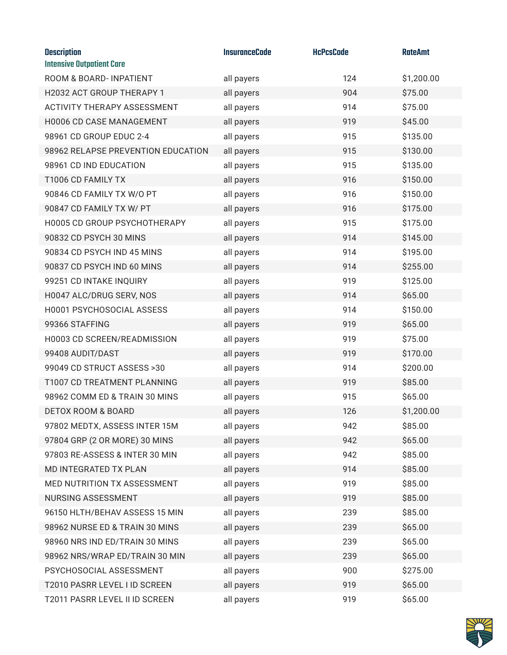| <b>Description</b><br><b>Intensive Outpatient Care</b> | <b>InsuranceCode</b> | <b>HcPcsCode</b> | <b>RateAmt</b> |
|--------------------------------------------------------|----------------------|------------------|----------------|
| ROOM & BOARD-INPATIENT                                 | all payers           | 124              | \$1,200.00     |
| H2032 ACT GROUP THERAPY 1                              | all payers           | 904              | \$75.00        |
| <b>ACTIVITY THERAPY ASSESSMENT</b>                     | all payers           | 914              | \$75.00        |
| H0006 CD CASE MANAGEMENT                               | all payers           | 919              | \$45.00        |
| 98961 CD GROUP EDUC 2-4                                | all payers           | 915              | \$135.00       |
| 98962 RELAPSE PREVENTION EDUCATION                     | all payers           | 915              | \$130.00       |
| 98961 CD IND EDUCATION                                 | all payers           | 915              | \$135.00       |
| T1006 CD FAMILY TX                                     | all payers           | 916              | \$150.00       |
| 90846 CD FAMILY TX W/O PT                              | all payers           | 916              | \$150.00       |
| 90847 CD FAMILY TX W/ PT                               | all payers           | 916              | \$175.00       |
| H0005 CD GROUP PSYCHOTHERAPY                           | all payers           | 915              | \$175.00       |
| 90832 CD PSYCH 30 MINS                                 | all payers           | 914              | \$145.00       |
| 90834 CD PSYCH IND 45 MINS                             | all payers           | 914              | \$195.00       |
| 90837 CD PSYCH IND 60 MINS                             | all payers           | 914              | \$255.00       |
| 99251 CD INTAKE INQUIRY                                | all payers           | 919              | \$125.00       |
| H0047 ALC/DRUG SERV, NOS                               | all payers           | 914              | \$65.00        |
| H0001 PSYCHOSOCIAL ASSESS                              | all payers           | 914              | \$150.00       |
| 99366 STAFFING                                         | all payers           | 919              | \$65.00        |
| H0003 CD SCREEN/READMISSION                            | all payers           | 919              | \$75.00        |
| 99408 AUDIT/DAST                                       | all payers           | 919              | \$170.00       |
| 99049 CD STRUCT ASSESS >30                             | all payers           | 914              | \$200.00       |
| T1007 CD TREATMENT PLANNING                            | all payers           | 919              | \$85.00        |
| 98962 COMM ED & TRAIN 30 MINS                          | all payers           | 915              | \$65.00        |
| <b>DETOX ROOM &amp; BOARD</b>                          | all payers           | 126              | \$1,200.00     |
| 97802 MEDTX, ASSESS INTER 15M                          | all payers           | 942              | \$85.00        |
| 97804 GRP (2 OR MORE) 30 MINS                          | all payers           | 942              | \$65.00        |
| 97803 RE-ASSESS & INTER 30 MIN                         | all payers           | 942              | \$85.00        |
| MD INTEGRATED TX PLAN                                  | all payers           | 914              | \$85.00        |
| MED NUTRITION TX ASSESSMENT                            | all payers           | 919              | \$85.00        |
| NURSING ASSESSMENT                                     | all payers           | 919              | \$85.00        |
| 96150 HLTH/BEHAV ASSESS 15 MIN                         | all payers           | 239              | \$85.00        |
| 98962 NURSE ED & TRAIN 30 MINS                         | all payers           | 239              | \$65.00        |
| 98960 NRS IND ED/TRAIN 30 MINS                         | all payers           | 239              | \$65.00        |
| 98962 NRS/WRAP ED/TRAIN 30 MIN                         | all payers           | 239              | \$65.00        |
| PSYCHOSOCIAL ASSESSMENT                                | all payers           | 900              | \$275.00       |
| T2010 PASRR LEVEL I ID SCREEN                          | all payers           | 919              | \$65.00        |
| T2011 PASRR LEVEL II ID SCREEN                         | all payers           | 919              | \$65.00        |

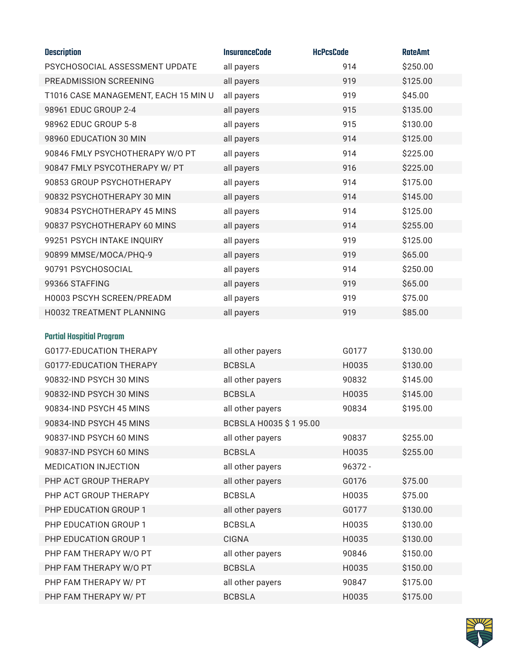| <b>Description</b>                   | <b>InsuranceCode</b>  | <b>HcPcsCode</b> | <b>RateAmt</b> |
|--------------------------------------|-----------------------|------------------|----------------|
| PSYCHOSOCIAL ASSESSMENT UPDATE       | all payers            | 914              | \$250.00       |
| PREADMISSION SCREENING               | all payers            | 919              | \$125.00       |
| T1016 CASE MANAGEMENT, EACH 15 MIN U | all payers            | 919              | \$45.00        |
| 98961 EDUC GROUP 2-4                 | all payers            | 915              | \$135.00       |
| 98962 EDUC GROUP 5-8                 | all payers            | 915              | \$130.00       |
| 98960 EDUCATION 30 MIN               | all payers            | 914              | \$125.00       |
| 90846 FMLY PSYCHOTHERAPY W/O PT      | all payers            | 914              | \$225.00       |
| 90847 FMLY PSYCOTHERAPY W/ PT        | all payers            | 916              | \$225.00       |
| 90853 GROUP PSYCHOTHERAPY            | all payers            | 914              | \$175.00       |
| 90832 PSYCHOTHERAPY 30 MIN           | all payers            | 914              | \$145.00       |
| 90834 PSYCHOTHERAPY 45 MINS          | all payers            | 914              | \$125.00       |
| 90837 PSYCHOTHERAPY 60 MINS          | all payers            | 914              | \$255.00       |
| 99251 PSYCH INTAKE INQUIRY           | all payers            | 919              | \$125.00       |
| 90899 MMSE/MOCA/PHQ-9                | all payers            | 919              | \$65.00        |
| 90791 PSYCHOSOCIAL                   | all payers            | 914              | \$250.00       |
| 99366 STAFFING                       | all payers            | 919              | \$65.00        |
| H0003 PSCYH SCREEN/PREADM            | all payers            | 919              | \$75.00        |
| H0032 TREATMENT PLANNING             | all payers            | 919              | \$85.00        |
| <b>Partial Hospitial Program</b>     |                       |                  |                |
| G0177-EDUCATION THERAPY              | all other payers      | G0177            | \$130.00       |
| G0177-EDUCATION THERAPY              | <b>BCBSLA</b>         | H0035            | \$130.00       |
| 90832-IND PSYCH 30 MINS              | all other payers      | 90832            | \$145.00       |
| 90832-IND PSYCH 30 MINS              | <b>BCBSLA</b>         | H0035            | \$145.00       |
| 90834-IND PSYCH 45 MINS              | all other payers      | 90834            | \$195.00       |
| 90834-IND PSYCH 45 MINS              | BCBSLA H0035 \$195.00 |                  |                |
| 90837-IND PSYCH 60 MINS              | all other payers      | 90837            | \$255.00       |
| 90837-IND PSYCH 60 MINS              | <b>BCBSLA</b>         | H0035            | \$255.00       |
| MEDICATION INJECTION                 | all other payers      | 96372 -          |                |
| PHP ACT GROUP THERAPY                | all other payers      | G0176            | \$75.00        |
| PHP ACT GROUP THERAPY                | <b>BCBSLA</b>         | H0035            | \$75.00        |
| PHP EDUCATION GROUP 1                | all other payers      | G0177            | \$130.00       |
| PHP EDUCATION GROUP 1                | <b>BCBSLA</b>         | H0035            | \$130.00       |
| PHP EDUCATION GROUP 1                | <b>CIGNA</b>          | H0035            | \$130.00       |
| PHP FAM THERAPY W/O PT               | all other payers      | 90846            | \$150.00       |
| PHP FAM THERAPY W/O PT               | <b>BCBSLA</b>         | H0035            | \$150.00       |
| PHP FAM THERAPY W/ PT                | all other payers      | 90847            | \$175.00       |
| PHP FAM THERAPY W/ PT                | <b>BCBSLA</b>         | H0035            | \$175.00       |